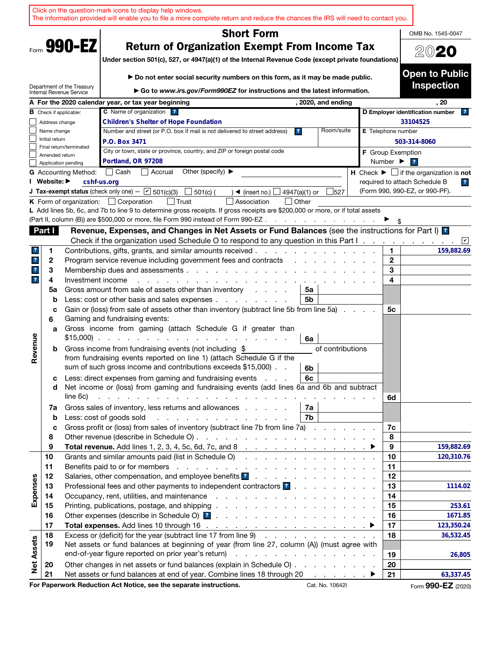|                              |                   |                                                        | Click on the question-mark icons to display help windows.<br>The information provided will enable you to file a more complete return and reduce the chances the IRS will need to contact you.                                                                                                       |                      |                              |                                                                                                                           |
|------------------------------|-------------------|--------------------------------------------------------|-----------------------------------------------------------------------------------------------------------------------------------------------------------------------------------------------------------------------------------------------------------------------------------------------------|----------------------|------------------------------|---------------------------------------------------------------------------------------------------------------------------|
|                              | OMB No. 1545-0047 |                                                        |                                                                                                                                                                                                                                                                                                     |                      |                              |                                                                                                                           |
|                              |                   |                                                        |                                                                                                                                                                                                                                                                                                     |                      |                              |                                                                                                                           |
|                              |                   | Form 990-EZ                                            | <b>Return of Organization Exempt From Income Tax</b>                                                                                                                                                                                                                                                |                      |                              | 2020                                                                                                                      |
|                              |                   |                                                        | Under section 501(c), 527, or 4947(a)(1) of the Internal Revenue Code (except private foundations)                                                                                                                                                                                                  |                      |                              |                                                                                                                           |
|                              |                   |                                                        | Do not enter social security numbers on this form, as it may be made public.                                                                                                                                                                                                                        |                      |                              | <b>Open to Public</b>                                                                                                     |
|                              |                   | Department of the Treasury<br>Internal Revenue Service | Go to www.irs.gov/Form990EZ for instructions and the latest information.                                                                                                                                                                                                                            |                      |                              | <b>Inspection</b>                                                                                                         |
|                              |                   |                                                        | A For the 2020 calendar year, or tax year beginning<br>, 2020, and ending                                                                                                                                                                                                                           |                      |                              | . 20                                                                                                                      |
|                              |                   | <b>B</b> Check if applicable:                          | C Name of organization ?                                                                                                                                                                                                                                                                            |                      |                              | D Employer identification number<br>$\mathbf{R}$                                                                          |
|                              | Address change    |                                                        | <b>Children's Shelter of Hope Foundation</b>                                                                                                                                                                                                                                                        |                      |                              | 33104525                                                                                                                  |
|                              | Name change       |                                                        | Number and street (or P.O. box if mail is not delivered to street address)<br>$\mathbf{r}$                                                                                                                                                                                                          | Room/suite           | E Telephone number           |                                                                                                                           |
|                              | Initial return    | Final return/terminated                                | P.O. Box 3471                                                                                                                                                                                                                                                                                       |                      |                              | 503-314-8060                                                                                                              |
|                              | Amended return    |                                                        | City or town, state or province, country, and ZIP or foreign postal code                                                                                                                                                                                                                            |                      | <b>F</b> Group Exemption     |                                                                                                                           |
|                              |                   | Application pending                                    | Portland, OR 97208                                                                                                                                                                                                                                                                                  |                      | Number $\blacktriangleright$ | $\overline{\mathbf{r}}$                                                                                                   |
|                              | I Website: ▶      | <b>G</b> Accounting Method:                            | │ Cash<br>Other (specify) $\blacktriangleright$<br>Accrual<br>cshf-us.org                                                                                                                                                                                                                           |                      |                              | H Check $\blacktriangleright \Box$ if the organization is not<br>required to attach Schedule B<br>$\overline{\mathbf{r}}$ |
|                              |                   |                                                        | <b>J Tax-exempt status</b> (check only one) $ \boxed{\phantom{0}}$ 501(c)(3)<br>$\Box$ 501(c) (<br>4947(a)(1) or<br>$\blacktriangleleft$ (insert no.)                                                                                                                                               | 527                  |                              | (Form 990, 990-EZ, or 990-PF).                                                                                            |
|                              |                   | <b>K</b> Form of organization:                         | <b>Trust</b><br>Other<br>$\Box$ Corporation<br>Association                                                                                                                                                                                                                                          |                      |                              |                                                                                                                           |
|                              |                   |                                                        | L Add lines 5b, 6c, and 7b to line 9 to determine gross receipts. If gross receipts are \$200,000 or more, or if total assets                                                                                                                                                                       |                      |                              |                                                                                                                           |
|                              |                   |                                                        | (Part II, column (B)) are \$500,000 or more, file Form 990 instead of Form 990-EZ                                                                                                                                                                                                                   |                      |                              |                                                                                                                           |
|                              | Part I            |                                                        | Revenue, Expenses, and Changes in Net Assets or Fund Balances (see the instructions for Part I) [2]                                                                                                                                                                                                 |                      |                              |                                                                                                                           |
|                              |                   |                                                        | Check if the organization used Schedule O to respond to any question in this Part I                                                                                                                                                                                                                 |                      |                              |                                                                                                                           |
| 7.                           | 1                 |                                                        | Contributions, gifts, grants, and similar amounts received.<br><u>and a straightform of the straight of the straight of the straight of the straight of the straight of the straight of the straight of the straight of the straight of the straight of the straight of the straight of the str</u> |                      | 1                            | 159,882.69                                                                                                                |
| $\mathbf{r}$<br>$\mathbf{r}$ | 2<br>3            |                                                        | Program service revenue including government fees and contracts<br>$\sim$ $\sim$ $\sim$ $\sim$<br>Membership dues and assessments                                                                                                                                                                   |                      | $\mathbf{2}$<br>3            |                                                                                                                           |
| $\overline{\mathbf{r}}$      | 4                 | Investment income                                      | and a state of the state of the                                                                                                                                                                                                                                                                     |                      | 4                            |                                                                                                                           |
|                              | 5a                |                                                        | Gross amount from sale of assets other than inventory<br>5a                                                                                                                                                                                                                                         |                      |                              |                                                                                                                           |
|                              | b                 |                                                        | Less: cost or other basis and sales expenses<br>5b                                                                                                                                                                                                                                                  |                      |                              |                                                                                                                           |
|                              | с                 |                                                        | Gain or (loss) from sale of assets other than inventory (subtract line 5b from line 5a)                                                                                                                                                                                                             |                      | 5с                           |                                                                                                                           |
|                              | 6                 |                                                        | Gaming and fundraising events:                                                                                                                                                                                                                                                                      |                      |                              |                                                                                                                           |
|                              | a                 | $$15,000$ ).                                           | Gross income from gaming (attach Schedule G if greater than<br>and the company of the company of the company of                                                                                                                                                                                     |                      |                              |                                                                                                                           |
| Revenue                      | b                 |                                                        | 6a<br>Gross income from fundraising events (not including \$                                                                                                                                                                                                                                        | of contributions     |                              |                                                                                                                           |
|                              |                   |                                                        | from fundraising events reported on line 1) (attach Schedule G if the                                                                                                                                                                                                                               |                      |                              |                                                                                                                           |
|                              |                   |                                                        | sum of such gross income and contributions exceeds \$15,000).<br>6b                                                                                                                                                                                                                                 |                      |                              |                                                                                                                           |
|                              | с                 |                                                        | Less: direct expenses from gaming and fundraising events<br>6c                                                                                                                                                                                                                                      |                      |                              |                                                                                                                           |
|                              | d                 |                                                        | Net income or (loss) from gaming and fundraising events (add lines 6a and 6b and subtract                                                                                                                                                                                                           |                      |                              |                                                                                                                           |
|                              |                   | line 6c)                                               | de la caractería de la caractería de la caractería de la caractería                                                                                                                                                                                                                                 |                      | 6d                           |                                                                                                                           |
|                              | 7a                |                                                        | Gross sales of inventory, less returns and allowances<br>7a                                                                                                                                                                                                                                         |                      |                              |                                                                                                                           |
|                              | $\mathbf b$       |                                                        | Less: cost of goods sold<br>7b<br>and the contract of the contract of the contract of<br>Gross profit or (loss) from sales of inventory (subtract line 7b from line 7a)                                                                                                                             |                      | 7c                           |                                                                                                                           |
|                              | c<br>8            |                                                        |                                                                                                                                                                                                                                                                                                     |                      | 8                            |                                                                                                                           |
|                              | 9                 |                                                        |                                                                                                                                                                                                                                                                                                     |                      | 9                            | 159,882.69                                                                                                                |
|                              | 10                |                                                        | Grants and similar amounts paid (list in Schedule O)                                                                                                                                                                                                                                                |                      | 10                           | 120,310.76                                                                                                                |
|                              | 11                |                                                        |                                                                                                                                                                                                                                                                                                     |                      | 11                           |                                                                                                                           |
|                              | 12                |                                                        | Salaries, other compensation, and employee benefits <b>3</b> and a series of the series of the series of the series of the series of the series of the series of the series of the series of the series of the series of the series                                                                 |                      | 12                           |                                                                                                                           |
| Expenses                     | 13                |                                                        | Professional fees and other payments to independent contractors ?                                                                                                                                                                                                                                   |                      | 13                           | 1114.02                                                                                                                   |
|                              | 14                |                                                        |                                                                                                                                                                                                                                                                                                     |                      | 14                           |                                                                                                                           |
|                              | 15<br>16          |                                                        |                                                                                                                                                                                                                                                                                                     |                      | 15<br>16                     | 253.61<br>1671.85                                                                                                         |
|                              | 17                |                                                        |                                                                                                                                                                                                                                                                                                     |                      | 17                           | 123,350.24                                                                                                                |
|                              | 18                |                                                        | Excess or (deficit) for the year (subtract line 17 from line 9)                                                                                                                                                                                                                                     |                      | 18                           | 36,532.45                                                                                                                 |
|                              | 19                |                                                        | Net assets or fund balances at beginning of year (from line 27, column (A)) (must agree with                                                                                                                                                                                                        |                      |                              |                                                                                                                           |
|                              |                   |                                                        |                                                                                                                                                                                                                                                                                                     |                      | 19                           | 26,805                                                                                                                    |
| <b>Net Assets</b>            | 20                |                                                        | Other changes in net assets or fund balances (explain in Schedule O)                                                                                                                                                                                                                                |                      | 20                           |                                                                                                                           |
|                              | 21                |                                                        | Net assets or fund balances at end of year. Combine lines 18 through 20                                                                                                                                                                                                                             | in a communication → | 21                           | 63,337.45                                                                                                                 |
|                              |                   |                                                        | For Paperwork Reduction Act Notice, see the separate instructions.                                                                                                                                                                                                                                  | Cat. No. 10642I      |                              | Form 990-EZ (2020)                                                                                                        |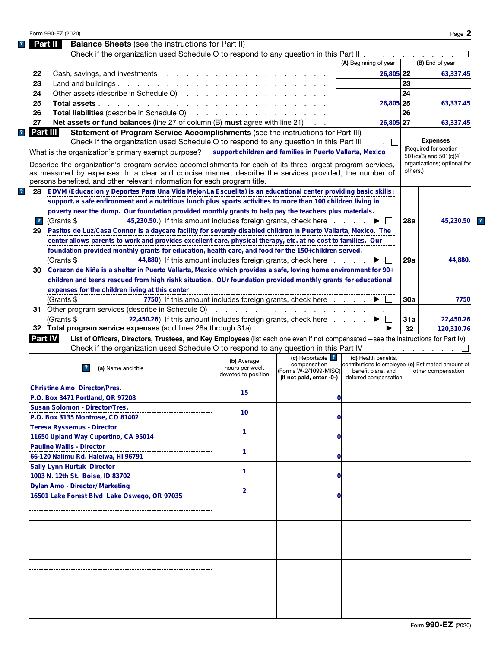|                         | Form 990-EZ (2020) |                                                                                                                                                                                                                      |                                                          |                                                     |                                                   |            | Page 2                                                     |
|-------------------------|--------------------|----------------------------------------------------------------------------------------------------------------------------------------------------------------------------------------------------------------------|----------------------------------------------------------|-----------------------------------------------------|---------------------------------------------------|------------|------------------------------------------------------------|
|                         | Part III           | <b>Balance Sheets</b> (see the instructions for Part II)                                                                                                                                                             |                                                          |                                                     |                                                   |            |                                                            |
|                         |                    | Check if the organization used Schedule O to respond to any question in this Part II                                                                                                                                 |                                                          |                                                     |                                                   |            |                                                            |
|                         |                    |                                                                                                                                                                                                                      |                                                          |                                                     | (A) Beginning of year                             |            | (B) End of year                                            |
| 22                      |                    | Cash, savings, and investments                                                                                                                                                                                       |                                                          |                                                     | 26,805 22                                         |            | 63,337.45                                                  |
| 23                      |                    | Land and buildings. $\ldots$ $\ldots$ $\ldots$ $\ldots$ $\ldots$                                                                                                                                                     |                                                          |                                                     |                                                   | 23         |                                                            |
| 24                      |                    | Other assets (describe in Schedule O)                                                                                                                                                                                |                                                          |                                                     |                                                   | 24         |                                                            |
| 25                      |                    | Total assets                                                                                                                                                                                                         |                                                          |                                                     | 26,805 25                                         |            | 63,337.45                                                  |
| 26                      |                    | <b>Total liabilities</b> (describe in Schedule O)                                                                                                                                                                    |                                                          |                                                     |                                                   | 26         |                                                            |
| 27                      |                    | Net assets or fund balances (line 27 of column (B) must agree with line 21)                                                                                                                                          |                                                          |                                                     | 26,805 27                                         |            | 63,337.45                                                  |
|                         | Part III           | Statement of Program Service Accomplishments (see the instructions for Part III)                                                                                                                                     |                                                          |                                                     |                                                   |            |                                                            |
|                         |                    | Check if the organization used Schedule O to respond to any question in this Part III                                                                                                                                |                                                          |                                                     |                                                   |            | <b>Expenses</b>                                            |
|                         |                    | What is the organization's primary exempt purpose?                                                                                                                                                                   | support children and families in Puerto Vallarta, Mexico |                                                     |                                                   |            | (Required for section                                      |
|                         |                    |                                                                                                                                                                                                                      |                                                          |                                                     |                                                   |            | $501(c)(3)$ and $501(c)(4)$<br>organizations; optional for |
|                         |                    | Describe the organization's program service accomplishments for each of its three largest program services,<br>as measured by expenses. In a clear and concise manner, describe the services provided, the number of |                                                          |                                                     |                                                   | others.)   |                                                            |
|                         |                    | persons benefited, and other relevant information for each program title.                                                                                                                                            |                                                          |                                                     |                                                   |            |                                                            |
| 28                      |                    | EDVM (Educacion y Deportes Para Una Vida Mejor/La Escuelita) is an educational center providing basic skills:                                                                                                        |                                                          |                                                     |                                                   |            |                                                            |
|                         |                    |                                                                                                                                                                                                                      |                                                          |                                                     |                                                   |            |                                                            |
|                         |                    | support, a safe enfironment and a nutritious lunch plus sports activities to more than 100 children living in                                                                                                        |                                                          |                                                     |                                                   |            |                                                            |
|                         |                    | poverty near the dump. Our foundation provided monthly grants to help pay the teachers plus materials.                                                                                                               |                                                          |                                                     |                                                   |            |                                                            |
| $\overline{\mathbf{r}}$ | (Grants \$         | 45,230.50.) If this amount includes foreign grants, check here                                                                                                                                                       |                                                          |                                                     |                                                   | <b>28a</b> | 45,230.50                                                  |
| 29                      |                    | Pasitos de Luz/Casa Connor is a daycare facility for severely disabled children in Puerto Vallarta, Mexico. The                                                                                                      |                                                          |                                                     |                                                   |            |                                                            |
|                         |                    | center allows parents to work and provides excellent care, physical therapy, etc. at no cost to families. Our                                                                                                        |                                                          |                                                     |                                                   |            |                                                            |
|                         |                    | foundation provided monthly grants for education, health care, and food for the 150+children served.                                                                                                                 |                                                          |                                                     |                                                   |            |                                                            |
|                         | (Grants \$         | 44,880) If this amount includes foreign grants, check here                                                                                                                                                           |                                                          |                                                     |                                                   | 29a        | 44,880.                                                    |
| 30                      |                    | Corazon de Niña is a shelter in Puerto Vallarta, Mexico which provides a safe, loving home environment for 90+                                                                                                       |                                                          |                                                     |                                                   |            |                                                            |
|                         |                    | children and teens rescued from high rishk situation. OUr foundation provided monthly grants for educational                                                                                                         |                                                          |                                                     |                                                   |            |                                                            |
|                         |                    | expenses for the children living at this center                                                                                                                                                                      |                                                          |                                                     |                                                   |            |                                                            |
|                         | (Grants \$         |                                                                                                                                                                                                                      | 7750) If this amount includes foreign grants, check here |                                                     |                                                   | 30a        | 7750                                                       |
|                         |                    | 31 Other program services (describe in Schedule O)                                                                                                                                                                   |                                                          | and the contract of the contract of the contract of |                                                   |            |                                                            |
|                         | (Grants \$         | 22,450.26) If this amount includes foreign grants, check here                                                                                                                                                        |                                                          |                                                     |                                                   | 31a        | 22,450.26                                                  |
|                         |                    | 32 Total program service expenses (add lines 28a through 31a)                                                                                                                                                        |                                                          |                                                     |                                                   | 32         | 120,310.76                                                 |
|                         | Part IV            | List of Officers, Directors, Trustees, and Key Employees (list each one even if not compensated—see the instructions for Part IV)                                                                                    |                                                          |                                                     |                                                   |            |                                                            |
|                         |                    | Check if the organization used Schedule O to respond to any question in this Part IV                                                                                                                                 |                                                          |                                                     |                                                   |            |                                                            |
|                         |                    |                                                                                                                                                                                                                      |                                                          | (c) Reportable ?                                    | (d) Health benefits.                              |            |                                                            |
|                         |                    | (a) Name and title<br>$\mathbf{R}$                                                                                                                                                                                   | (b) Average<br>hours per week                            | compensation                                        | contributions to employee (e) Estimated amount of |            |                                                            |
|                         |                    |                                                                                                                                                                                                                      | devoted to position                                      | (Forms W-2/1099-MISC)<br>(if not paid, enter -0-)   | benefit plans, and<br>deferred compensation       |            | other compensation                                         |
|                         |                    | <b>Christine Amo Director/Pres.</b>                                                                                                                                                                                  |                                                          |                                                     |                                                   |            |                                                            |
|                         |                    | P.O. Box 3471 Portland, OR 97208                                                                                                                                                                                     | 15                                                       |                                                     |                                                   |            |                                                            |
|                         |                    |                                                                                                                                                                                                                      |                                                          |                                                     | 0                                                 |            |                                                            |
|                         |                    | <b>Susan Solomon - Director/Tres.</b>                                                                                                                                                                                | 10                                                       |                                                     |                                                   |            |                                                            |
|                         |                    | P.O. Box 3135 Montrose, CO 81402                                                                                                                                                                                     |                                                          | 0                                                   |                                                   |            |                                                            |
|                         |                    | <b>Teresa Ryssemus - Director</b>                                                                                                                                                                                    | 1                                                        |                                                     |                                                   |            |                                                            |
|                         |                    | 11650 Upland Way Cupertino, CA 95014                                                                                                                                                                                 |                                                          | 0                                                   |                                                   |            |                                                            |
|                         |                    | <b>Pauline Wallis - Director</b>                                                                                                                                                                                     | 1                                                        |                                                     |                                                   |            |                                                            |
|                         |                    | 66-120 Nalimu Rd. Haleiwa, HI 96791                                                                                                                                                                                  |                                                          | 0                                                   |                                                   |            |                                                            |
|                         |                    | <b>Sally Lynn Hurtuk Director</b>                                                                                                                                                                                    |                                                          |                                                     |                                                   |            |                                                            |
|                         |                    | 1003 N. 12th St. Boise, ID 83702                                                                                                                                                                                     | 1                                                        | 0                                                   |                                                   |            |                                                            |
|                         |                    | Dylan Amo - Director/ Marketing                                                                                                                                                                                      |                                                          |                                                     |                                                   |            |                                                            |
|                         |                    | 16501 Lake Forest Blvd Lake Oswego, OR 97035                                                                                                                                                                         | $\overline{2}$                                           | 0                                                   |                                                   |            |                                                            |
|                         |                    |                                                                                                                                                                                                                      |                                                          |                                                     |                                                   |            |                                                            |
|                         |                    |                                                                                                                                                                                                                      |                                                          |                                                     |                                                   |            |                                                            |
|                         |                    |                                                                                                                                                                                                                      |                                                          |                                                     |                                                   |            |                                                            |
|                         |                    |                                                                                                                                                                                                                      |                                                          |                                                     |                                                   |            |                                                            |
|                         |                    |                                                                                                                                                                                                                      |                                                          |                                                     |                                                   |            |                                                            |
|                         |                    |                                                                                                                                                                                                                      |                                                          |                                                     |                                                   |            |                                                            |
|                         |                    |                                                                                                                                                                                                                      |                                                          |                                                     |                                                   |            |                                                            |
|                         |                    |                                                                                                                                                                                                                      |                                                          |                                                     |                                                   |            |                                                            |
|                         |                    |                                                                                                                                                                                                                      |                                                          |                                                     |                                                   |            |                                                            |
|                         |                    |                                                                                                                                                                                                                      |                                                          |                                                     |                                                   |            |                                                            |
|                         |                    |                                                                                                                                                                                                                      |                                                          |                                                     |                                                   |            |                                                            |
|                         |                    |                                                                                                                                                                                                                      |                                                          |                                                     |                                                   |            |                                                            |
|                         |                    |                                                                                                                                                                                                                      |                                                          |                                                     |                                                   |            |                                                            |
|                         |                    |                                                                                                                                                                                                                      |                                                          |                                                     |                                                   |            |                                                            |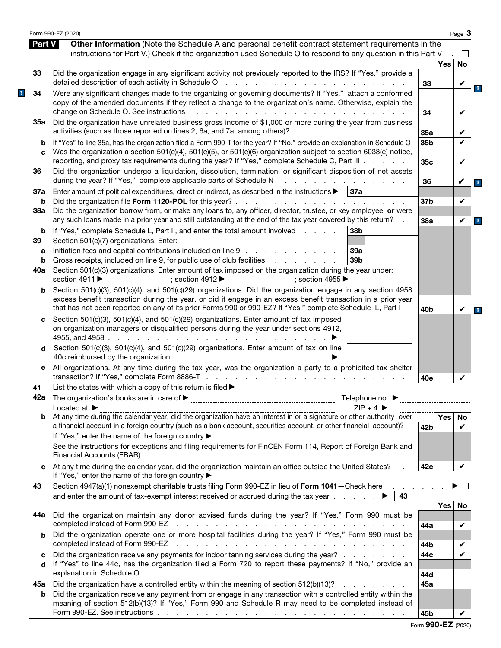|         | Form 990-EZ (2020)                                                                                                                                                                                                                                                                                                                          |                 |            | Page 3             |
|---------|---------------------------------------------------------------------------------------------------------------------------------------------------------------------------------------------------------------------------------------------------------------------------------------------------------------------------------------------|-----------------|------------|--------------------|
| Part V  | Other Information (Note the Schedule A and personal benefit contract statement requirements in the<br>instructions for Part V.) Check if the organization used Schedule O to respond to any question in this Part V                                                                                                                         |                 |            |                    |
|         |                                                                                                                                                                                                                                                                                                                                             |                 | <b>Yes</b> | $\mathsf{L}$<br>No |
| 33      | Did the organization engage in any significant activity not previously reported to the IRS? If "Yes," provide a<br>detailed description of each activity in Schedule O<br>and a straightful contract and a straight                                                                                                                         | 33              |            | V                  |
| 34      | Were any significant changes made to the organizing or governing documents? If "Yes," attach a conformed<br>copy of the amended documents if they reflect a change to the organization's name. Otherwise, explain the<br>change on Schedule O. See instructions<br>$\mathbf{r}$                                                             | 34              |            | V                  |
| 35а     | Did the organization have unrelated business gross income of \$1,000 or more during the year from business<br>activities (such as those reported on lines 2, 6a, and 7a, among others)?                                                                                                                                                     | 35a             |            |                    |
| b<br>C  | If "Yes" to line 35a, has the organization filed a Form 990-T for the year? If "No," provide an explanation in Schedule O<br>Was the organization a section 501(c)(4), 501(c)(5), or 501(c)(6) organization subject to section 6033(e) notice,                                                                                              | 35b             |            | ✓                  |
| 36      | reporting, and proxy tax requirements during the year? If "Yes," complete Schedule C, Part III<br>Did the organization undergo a liquidation, dissolution, termination, or significant disposition of net assets                                                                                                                            | 35c             |            | V                  |
| 37a     | during the year? If "Yes," complete applicable parts of Schedule N<br>Enter amount of political expenditures, direct or indirect, as described in the instructions $\blacktriangleright$   37a                                                                                                                                              | 36              |            |                    |
| b       | Did the organization file Form 1120-POL for this year?.<br>the second contract of the second contract of the second                                                                                                                                                                                                                         | 37b             |            | V                  |
| 38a     | Did the organization borrow from, or make any loans to, any officer, director, trustee, or key employee; or were<br>any such loans made in a prior year and still outstanding at the end of the tax year covered by this return?                                                                                                            | 38a             |            | V                  |
| b<br>39 | If "Yes," complete Schedule L, Part II, and enter the total amount involved<br>38b<br>Section 501(c)(7) organizations. Enter:                                                                                                                                                                                                               |                 |            |                    |
| a       | Initiation fees and capital contributions included on line 9<br>39a                                                                                                                                                                                                                                                                         |                 |            |                    |
| b       | Gross receipts, included on line 9, for public use of club facilities<br>39 <sub>b</sub><br>and a state of the state of the                                                                                                                                                                                                                 |                 |            |                    |
| 40a     | Section 501(c)(3) organizations. Enter amount of tax imposed on the organization during the year under:<br>section 4911 $\blacktriangleright$<br>: section 4912 $\blacktriangleright$<br>: section 4955 $\blacktriangleright$                                                                                                               |                 |            |                    |
| b       | Section 501(c)(3), 501(c)(4), and 501(c)(29) organizations. Did the organization engage in any section 4958<br>excess benefit transaction during the year, or did it engage in an excess benefit transaction in a prior year<br>that has not been reported on any of its prior Forms 990 or 990-EZ? If "Yes," complete Schedule L, Part I   | 40 <sub>b</sub> |            | V                  |
| c       | Section 501(c)(3), 501(c)(4), and 501(c)(29) organizations. Enter amount of tax imposed<br>on organization managers or disqualified persons during the year under sections 4912,<br>4955, and 4958.<br>the company of the company of the                                                                                                    |                 |            |                    |
| d       | Section 501(c)(3), 501(c)(4), and 501(c)(29) organizations. Enter amount of tax on line<br>40c reimbursed by the organization $\cdots$ $\cdots$ $\cdots$ $\cdots$ $\cdots$                                                                                                                                                                  |                 |            |                    |
| е       | All organizations. At any time during the tax year, was the organization a party to a prohibited tax shelter                                                                                                                                                                                                                                | 40e             |            | V                  |
| 41      | List the states with which a copy of this return is filed $\blacktriangleright$                                                                                                                                                                                                                                                             |                 |            |                    |
|         | $ZIP + 4$<br>Located at $\blacktriangleright$                                                                                                                                                                                                                                                                                               |                 |            |                    |
| b       | a financial account in a foreign country (such as a bank account, securities account, or other financial account)?<br>If "Yes," enter the name of the foreign country ▶                                                                                                                                                                     | 42 <sub>b</sub> | Yes        | No<br>V            |
|         | See the instructions for exceptions and filing requirements for FinCEN Form 114, Report of Foreign Bank and<br>Financial Accounts (FBAR).                                                                                                                                                                                                   |                 |            |                    |
| C       | At any time during the calendar year, did the organization maintain an office outside the United States?<br>If "Yes," enter the name of the foreign country ▶                                                                                                                                                                               | 42c             |            | V                  |
| 43      | Section 4947(a)(1) nonexempt charitable trusts filing Form 990-EZ in lieu of Form 1041-Check here.<br>and enter the amount of tax-exempt interest received or accrued during the tax year $\ldots$<br>43                                                                                                                                    |                 |            |                    |
| 44а     | Did the organization maintain any donor advised funds during the year? If "Yes," Form 990 must be                                                                                                                                                                                                                                           | 44a             | <b>Yes</b> | No<br>V            |
| b       | Did the organization operate one or more hospital facilities during the year? If "Yes," Form 990 must be                                                                                                                                                                                                                                    |                 |            |                    |
|         | completed instead of Form 990-EZ<br>the contract of the contract of the contract of the contract of the contract of the contract of<br>Did the organization receive any payments for indoor tanning services during the year?                                                                                                               | 44b<br>44c      |            |                    |
| c<br>d  | If "Yes" to line 44c, has the organization filed a Form 720 to report these payments? If "No," provide an<br>explanation in Schedule O response to the contract of the contract of the contract of the contract of the contract of the contract of the contract of the contract of the contract of the contract of the contract of the cont |                 |            |                    |
| 45а     | Did the organization have a controlled entity within the meaning of section 512(b)(13)?                                                                                                                                                                                                                                                     | 44d<br>45a      |            |                    |
| b       | Did the organization receive any payment from or engage in any transaction with a controlled entity within the<br>meaning of section 512(b)(13)? If "Yes," Form 990 and Schedule R may need to be completed instead of                                                                                                                      |                 |            |                    |
|         |                                                                                                                                                                                                                                                                                                                                             | 45b             |            | V                  |

|  |  |  | Form 990-EZ (2020) |
|--|--|--|--------------------|
|--|--|--|--------------------|